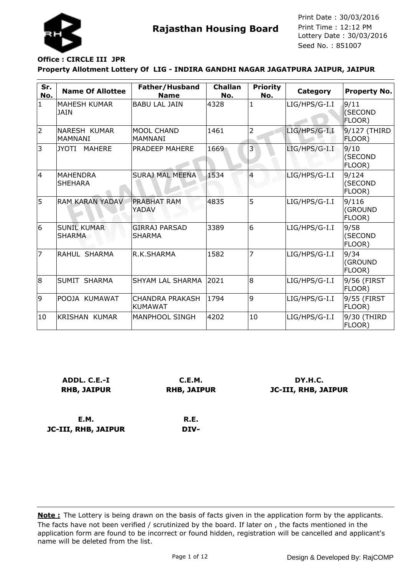

### **Office : CIRCLE III JPR**

**JC-III, RHB, JAIPUR**

#### **Property Allotment Lottery Of LIG - INDIRA GANDHI NAGAR JAGATPURA JAIPUR, JAIPUR**

| Sr.<br>No.     | <b>Name Of Allottee</b>               | Father/Husband<br><b>Name</b>            | <b>Challan</b><br>No. | <b>Priority</b><br>No. | Category        | <b>Property No.</b>        |
|----------------|---------------------------------------|------------------------------------------|-----------------------|------------------------|-----------------|----------------------------|
| $\mathbf{1}$   | <b>MAHESH KUMAR</b><br><b>JAIN</b>    | <b>BABU LAL JAIN</b>                     | 4328                  | $\mathbf{1}$           | LIG/HPS/G-I.I   | 9/11<br>(SECOND<br>FLOOR)  |
| 2              | <b>NARESH KUMAR</b><br><b>MAMNANI</b> | <b>MOOL CHAND</b><br><b>MAMNANI</b>      | 1461                  | $\overline{2}$         | LIG/HPS/G-I.I   | 9/127 (THIRD<br>FLOOR)     |
| 3              | <b>JYOTI</b><br><b>MAHERE</b>         | PRADEEP MAHERE                           | 1669                  | 3                      | $LIG/HPS/G-I.I$ | 9/10<br>(SECOND<br>FLOOR)  |
| 14             | <b>MAHENDRA</b><br><b>SHEHARA</b>     | <b>SURAJ MAL MEENA</b>                   | 1534                  | 4                      | LIG/HPS/G-I.I   | 9/124<br>(SECOND<br>FLOOR) |
| 5              | <b>RAM KARAN YADAV</b>                | <b>PRABHAT RAM</b><br>YADAV              | 4835                  | 5                      | LIG/HPS/G-I.I   | 9/116<br>(GROUND<br>FLOOR) |
| 6              | <b>SUNIL KUMAR</b><br><b>SHARMA</b>   | <b>GIRRAJ PARSAD</b><br><b>SHARMA</b>    | 3389                  | 6                      | LIG/HPS/G-I.I   | 9/58<br>(SECOND<br>FLOOR)  |
| $\overline{7}$ | RAHUL SHARMA                          | R.K.SHARMA                               | 1582                  | $\overline{7}$         | LIG/HPS/G-I.I   | 9/34<br>(GROUND<br>FLOOR)  |
| 8              | <b>SUMIT SHARMA</b>                   | <b>SHYAM LAL SHARMA</b>                  | 2021                  | 8                      | LIG/HPS/G-I.I   | 9/56 (FIRST<br>FLOOR)      |
| 9              | POOJA KUMAWAT                         | <b>CHANDRA PRAKASH</b><br><b>KUMAWAT</b> | 1794                  | 9                      | LIG/HPS/G-I.I   | 9/55 (FIRST<br>FLOOR)      |
| 10             | <b>KRISHAN KUMAR</b>                  | <b>MANPHOOL SINGH</b>                    | 4202                  | 10                     | LIG/HPS/G-I.I   | 9/30 (THIRD<br>FLOOR)      |

| ADDL. C.E.-I       | C.E.M.             | DY.H.C.                    |
|--------------------|--------------------|----------------------------|
| <b>RHB, JAIPUR</b> | <b>RHB, JAIPUR</b> | <b>JC-III, RHB, JAIPUR</b> |
|                    |                    |                            |
|                    |                    |                            |
| E.M.               | R.E.               |                            |

**DIV-**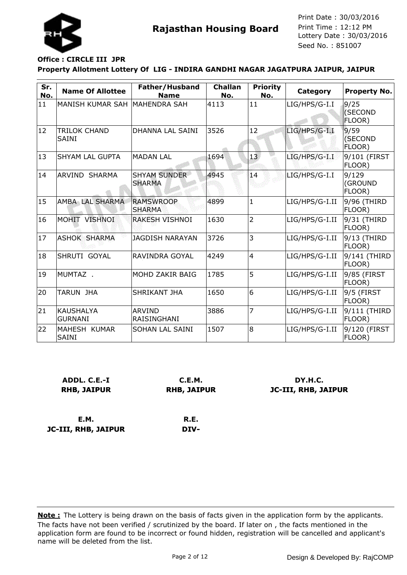

# **Office : CIRCLE III JPR**

**JC-III, RHB, JAIPUR**

**Property Allotment Lottery Of LIG - INDIRA GANDHI NAGAR JAGATPURA JAIPUR, JAIPUR**

| Sr.<br>No. | <b>Name Of Allottee</b>            | Father/Husband<br><b>Name</b>        | <b>Challan</b><br>No. | <b>Priority</b><br>No. | Category       | <b>Property No.</b>        |
|------------|------------------------------------|--------------------------------------|-----------------------|------------------------|----------------|----------------------------|
| 11         | IMANISH KUMAR SAH                  | IMAHENDRA SAH                        | 4113                  | 11                     | LIG/HPS/G-I.I  | 9/25<br>(SECOND<br>FLOOR)  |
| 12         | TRILOK CHAND<br><b>SAINI</b>       | DHANNA LAL SAINI                     | 3526                  | 12                     | LIG/HPS/G-I.I  | 9/59<br>(SECOND<br>FLOOR)  |
| 13         | ISHYAM LAL GUPTA                   | <b>MADAN LAL</b>                     | 1694                  | 13 <sup>7</sup>        | LIG/HPS/G-I.I  | 9/101 (FIRST<br>FLOOR)     |
| 14         | ARVIND SHARMA                      | <b>SHYAM SUNDER</b><br><b>SHARMA</b> | 4945                  | 14                     | LIG/HPS/G-I.I  | 9/129<br>(GROUND<br>FLOOR) |
| 15         | AMBA LAL SHARMA                    | <b>RAMSWROOP</b><br><b>SHARMA</b>    | 4899                  | $\mathbf{1}$           | LIG/HPS/G-I.II | 9/96 (THIRD<br>FLOOR)      |
| 16         | MOHIT VISHNOI                      | <b>RAKESH VISHNOI</b>                | 1630                  | $\overline{2}$         | LIG/HPS/G-I.II | 9/31 (THIRD<br>FLOOR)      |
| 17         | <b>ASHOK SHARMA</b>                | <b>JAGDISH NARAYAN</b>               | 3726                  | 3                      | LIG/HPS/G-I.II | $9/13$ (THIRD<br>FLOOR)    |
| 18         | ISHRUTI GOYAL                      | RAVINDRA GOYAL                       | 4249                  | $\overline{4}$         | LIG/HPS/G-I.II | 9/141 (THIRD<br>FLOOR)     |
| 19         | IMUMTAZ .                          | MOHD ZAKIR BAIG                      | 1785                  | 5                      | LIG/HPS/G-I.II | 9/85 (FIRST<br>FLOOR)      |
| 20         | TARUN JHA                          | SHRIKANT JHA                         | 1650                  | 6                      | LIG/HPS/G-I.II | 9/5 (FIRST<br>FLOOR)       |
| 21         | <b>KAUSHALYA</b><br><b>GURNANI</b> | <b>ARVIND</b><br>RAISINGHANI         | 3886                  | $\overline{7}$         | LIG/HPS/G-I.II | 9/111 (THIRD<br>FLOOR)     |
| 22         | MAHESH KUMAR<br><b>SAINI</b>       | <b>SOHAN LAL SAINI</b>               | 1507                  | l8                     | LIG/HPS/G-I.II | 9/120 (FIRST<br>FLOOR)     |

| ADDL. C.E.-I       | C.E.M.             | DY.H.C.                    |
|--------------------|--------------------|----------------------------|
| <b>RHB, JAIPUR</b> | <b>RHB, JAIPUR</b> | <b>JC-III, RHB, JAIPUR</b> |
|                    |                    |                            |
| <b>E.M.</b>        | R.E.               |                            |

**DIV-**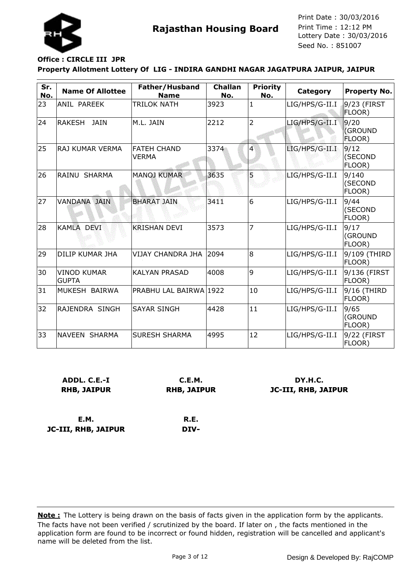

# **Office : CIRCLE III JPR**

#### **Property Allotment Lottery Of LIG - INDIRA GANDHI NAGAR JAGATPURA JAIPUR, JAIPUR**

| Sr.<br>No. | <b>Name Of Allottee</b>            | Father/Husband<br><b>Name</b>      | <b>Challan</b><br>No. | <b>Priority</b><br>No. | Category       | <b>Property No.</b>        |
|------------|------------------------------------|------------------------------------|-----------------------|------------------------|----------------|----------------------------|
| 23         | ANIL PAREEK                        | <b>TRILOK NATH</b>                 | 3923                  | 1                      | LIG/HPS/G-II.I | 9/23 (FIRST<br>FLOOR)      |
| 24         | <b>RAKESH</b><br>JAIN              | M.L. JAIN                          | 2212                  | $\overline{2}$         | LIG/HPS/G-II.I | 9/20<br>(GROUND<br>FLOOR)  |
| 25         | RAJ KUMAR VERMA                    | <b>FATEH CHAND</b><br><b>VERMA</b> | 3374                  | 4                      | LIG/HPS/G-II.I | 9/12<br>(SECOND<br>FLOOR)  |
| 26         | RAINU SHARMA                       | <b>MANOJ KUMAR</b>                 | 3635                  | 5                      | LIG/HPS/G-II.I | 9/140<br>(SECOND<br>FLOOR) |
| 27         | <b>VANDANA JAIN</b>                | <b>BHARAT JAIN</b>                 | 3411                  | 6                      | LIG/HPS/G-II.I | 9/44<br>(SECOND<br>FLOOR)  |
| 28         | KAMLA DEVI                         | <b>KRISHAN DEVI</b>                | 3573                  | 7                      | LIG/HPS/G-II.I | 9/17<br>(GROUND<br>FLOOR)  |
| 29         | <b>DILIP KUMAR JHA</b>             | VIJAY CHANDRA JHA                  | 2094                  | 8                      | LIG/HPS/G-II.I | 9/109 (THIRD<br>FLOOR)     |
| 30         | <b>VINOD KUMAR</b><br><b>GUPTA</b> | <b>KALYAN PRASAD</b>               | 4008                  | 9                      | LIG/HPS/G-II.I | 9/136 (FIRST<br>FLOOR)     |
| 31         | MUKESH BAIRWA                      | PRABHU LAL BAIRWA 1922             |                       | 10                     | LIG/HPS/G-II.I | 9/16 (THIRD<br>FLOOR)      |
| 32         | RAJENDRA SINGH                     | <b>SAYAR SINGH</b>                 | 4428                  | 11                     | LIG/HPS/G-II.I | 9/65<br>(GROUND<br>FLOOR)  |
| 33         | NAVEEN SHARMA                      | <b>SURESH SHARMA</b>               | 4995                  | 12                     | LIG/HPS/G-II.I | 9/22 (FIRST<br>FLOOR)      |

| ADDL. C.E.-I               | C.E.M.             | DY.H.C.                    |
|----------------------------|--------------------|----------------------------|
| <b>RHB, JAIPUR</b>         | <b>RHB, JAIPUR</b> | <b>JC-III, RHB, JAIPUR</b> |
| E.M.                       | R.E.               |                            |
| <b>JC-III, RHB, JAIPUR</b> | DIV-               |                            |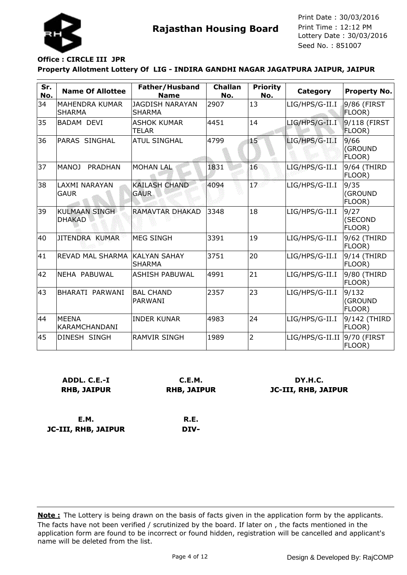

### **Office : CIRCLE III JPR**

**Property Allotment Lottery Of LIG - INDIRA GANDHI NAGAR JAGATPURA JAIPUR, JAIPUR**

| Sr.<br>No. | <b>Name Of Allottee</b>               | Father/Husband<br><b>Name</b>           | <b>Challan</b><br>No. | <b>Priority</b><br>No. | Category        | <b>Property No.</b>        |
|------------|---------------------------------------|-----------------------------------------|-----------------------|------------------------|-----------------|----------------------------|
| 34         | MAHENDRA KUMAR<br><b>SHARMA</b>       | <b>JAGDISH NARAYAN</b><br><b>SHARMA</b> | 2907                  | 13                     | LIG/HPS/G-II.I  | 9/86 (FIRST<br>FLOOR)      |
| 35         | <b>BADAM DEVI</b>                     | <b>ASHOK KUMAR</b><br>TELAR             | 4451                  | 14                     | LIG/HPS/G-II.I  | 9/118 (FIRST<br>FLOOR)     |
| 36         | PARAS SINGHAL                         | <b>ATUL SINGHAL</b>                     | 4799                  | $15^{\circ}$           | LIG/HPS/G-II.I  | 9/66<br>(GROUND<br>FLOOR)  |
| 37         | <b>MANOJ</b><br><b>PRADHAN</b>        | <b>MOHAN LAL</b>                        | 1831                  | 16                     | LIG/HPS/G-II.I  | 9/64 (THIRD<br>FLOOR)      |
| 38         | <b>LAXMI NARAYAN</b><br><b>GAUR</b>   | <b>KAILASH CHAND</b><br><b>GAUR</b>     | 4094                  | $1\%$                  | LIG/HPS/G-II.I  | 9/35<br>(GROUND<br>FLOOR)  |
| 39         | <b>KULMAAN SINGH</b><br><b>DHAKAD</b> | <b>RAMAVTAR DHAKAD</b>                  | 3348                  | 18                     | LIG/HPS/G-II.I  | 9/27<br>(SECOND<br>FLOOR)  |
| 40         | JITENDRA KUMAR                        | <b>MEG SINGH</b>                        | 3391                  | 19                     | LIG/HPS/G-II.I  | 9/62 (THIRD<br>FLOOR)      |
| 41         | <b>REVAD MAL SHARMA</b>               | <b>KALYAN SAHAY</b><br><b>SHARMA</b>    | 3751                  | 20                     | LIG/HPS/G-II.I  | 9/14 (THIRD<br>FLOOR)      |
| 42         | NEHA PABUWAL                          | <b>ASHISH PABUWAL</b>                   | 4991                  | 21                     | LIG/HPS/G-II.I  | 9/80 (THIRD<br>FLOOR)      |
| 43         | BHARATI PARWANI                       | <b>BAL CHAND</b><br>PARWANI             | 2357                  | 23                     | LIG/HPS/G-II.I  | 9/132<br>(GROUND<br>FLOOR) |
| 44         | <b>MEENA</b><br><b>KARAMCHANDANI</b>  | <b>INDER KUNAR</b>                      | 4983                  | 24                     | LIG/HPS/G-II.I  | 9/142 (THIRD<br>FLOOR)     |
| 45         | DINESH SINGH                          | <b>RAMVIR SINGH</b>                     | 1989                  | $\overline{2}$         | LIG/HPS/G-II.II | 9/70 (FIRST<br>FLOOR)      |

| ADDL. C.E.-I       | C.E.M.             | DY.H.C.             |
|--------------------|--------------------|---------------------|
| <b>RHB, JAIPUR</b> | <b>RHB, JAIPUR</b> | JC-III, RHB, JAIPUR |
|                    |                    |                     |
|                    |                    |                     |

**E.M. JC-III, RHB, JAIPUR**

**R.E. DIV-**

The facts have not been verified / scrutinized by the board. If later on , the facts mentioned in the application form are found to be incorrect or found hidden, registration will be cancelled and applicant's name will be deleted from the list. **Note :** The Lottery is being drawn on the basis of facts given in the application form by the applicants.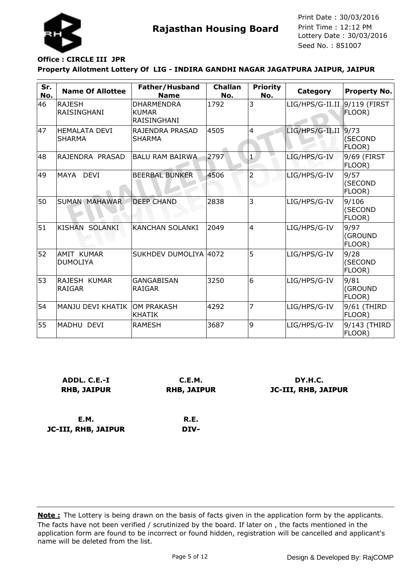

### **Office : CIRCLE III JPR**

**JC-III, RHB, JAIPUR**

#### **Property Allotment Lottery Of LIG - INDIRA GANDHI NAGAR JAGATPURA JAIPUR, JAIPUR**

| Sr.<br>No. | <b>Name Of Allottee</b>               | Father/Husband<br><b>Name</b>                           | <b>Challan</b><br>No. | <b>Priority</b><br>No. | Category        | <b>Property No.</b>        |
|------------|---------------------------------------|---------------------------------------------------------|-----------------------|------------------------|-----------------|----------------------------|
| 46         | <b>RAJESH</b><br>RAISINGHANI          | <b>DHARMENDRA</b><br><b>KUMAR</b><br><b>RAISINGHANI</b> | 1792                  | 3                      | LIG/HPS/G-II.II | $9/119$ (FIRST<br>FLOOR)   |
| 47         | <b>HEMALATA DEVI</b><br><b>SHARMA</b> | RAJENDRA PRASAD<br><b>SHARMA</b>                        | 4505                  | $\overline{4}$         | LIG/HPS/G-II.II | 9/73<br>(SECOND<br>FLOOR)  |
| 48         | RAJENDRA PRASAD                       | <b>BALU RAM BAIRWA</b>                                  | 2797                  | 1,                     | LIG/HPS/G-IV    | 9/69 (FIRST<br>FLOOR)      |
| 49         | MAYA DEVI                             | <b>BEERBAL BUNKER</b>                                   | 4506                  |                        | LIG/HPS/G-IV    | 9/57<br>(SECOND<br>FLOOR)  |
| 50         | <b>SUMAN MAHAWAR</b>                  | <b>DEEP CHAND</b>                                       | 2838                  | 3                      | LIG/HPS/G-IV    | 9/106<br>(SECOND<br>FLOOR) |
| 51         | <b>KISHAN</b><br><b>SOLANKI</b>       | <b>KANCHAN SOLANKI</b>                                  | 2049                  | $\overline{4}$         | LIG/HPS/G-IV    | 9/97<br>(GROUND<br>FLOOR)  |
| 52         | <b>AMIT KUMAR</b><br><b>DUMOLIYA</b>  | SUKHDEV DUMOLIYA 4072                                   |                       | 5                      | LIG/HPS/G-IV    | 9/28<br>(SECOND<br>FLOOR)  |
| 53         | RAJESH KUMAR<br><b>RAIGAR</b>         | <b>GANGABISAN</b><br><b>RAIGAR</b>                      | 3250                  | 6                      | LIG/HPS/G-IV    | 9/81<br>(GROUND<br>FLOOR)  |
| 54         | MANJU DEVI KHATIK                     | <b>OM PRAKASH</b><br><b>KHATIK</b>                      | 4292                  | 7                      | LIG/HPS/G-IV    | 9/61 (THIRD<br>FLOOR)      |
| 55         | MADHU DEVI                            | <b>RAMESH</b>                                           | 3687                  | 9                      | LIG/HPS/G-IV    | 9/143 (THIRD<br>FLOOR)     |

| ADDL. C.E.-I       | C.E.M.             | DY.H.C.                    |
|--------------------|--------------------|----------------------------|
| <b>RHB, JAIPUR</b> | <b>RHB, JAIPUR</b> | <b>JC-III, RHB, JAIPUR</b> |
|                    |                    |                            |
|                    |                    |                            |
| E.M.               | R.E.               |                            |

**DIV-**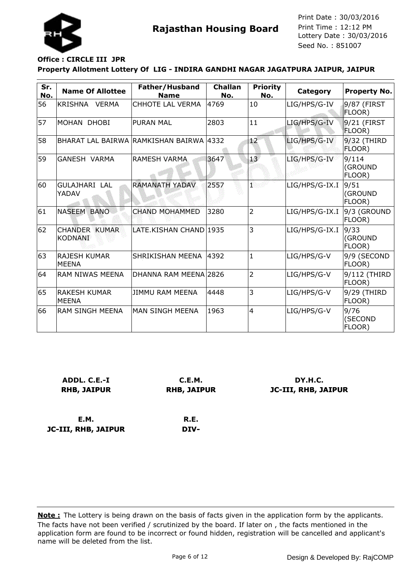

## **Office : CIRCLE III JPR**

**JC-III, RHB, JAIPUR**

#### **Property Allotment Lottery Of LIG - INDIRA GANDHI NAGAR JAGATPURA JAIPUR, JAIPUR**

| Sr.<br>No. | <b>Name Of Allottee</b>                | Father/Husband<br><b>Name</b>           | <b>Challan</b><br>No. | <b>Priority</b><br>No. | <b>Category</b> | <b>Property No.</b>        |
|------------|----------------------------------------|-----------------------------------------|-----------------------|------------------------|-----------------|----------------------------|
| 56         | KRISHNA<br><b>VERMA</b>                | CHHOTE LAL VERMA                        | 4769                  | 10                     | LIG/HPS/G-IV    | 9/87 (FIRST<br>FLOOR)      |
| 57         | MOHAN DHOBI                            | <b>PURAN MAL</b>                        | 2803                  | 11                     | LIG/HPS/G-IV    | 9/21 (FIRST<br>FLOOR)      |
| 58         |                                        | BHARAT LAL BAIRWA RAMKISHAN BAIRWA 4332 |                       | 12                     | LIG/HPS/G-IV    | 9/32 (THIRD<br>FLOOR)      |
| 59         | GANESH VARMA                           | IRAMESH VARMA                           | 3647                  | 13 <sup>7</sup>        | LIG/HPS/G-IV    | 9/114<br>(GROUND<br>FLOOR) |
| 60         | <b>GULAJHARI LAL</b><br>YADAV          | <b>RAMANATH YADAV</b>                   | 2557                  | ï                      | LIG/HPS/G-IX.I  | 9/51<br>(GROUND<br>FLOOR)  |
| 61         | <b>NASEEM BANO</b>                     | <b>CHAND MOHAMMED</b>                   | 3280                  | $\overline{2}$         | LIG/HPS/G-IX.I  | 9/3 (GROUND<br>FLOOR)      |
| 62         | <b>CHANDER KUMAR</b><br><b>KODNANI</b> | LATE.KISHAN CHAND 1935                  |                       | 3                      | LIG/HPS/G-IX.I  | 9/33<br>(GROUND<br>FLOOR)  |
| 63         | <b>RAJESH KUMAR</b><br><b>MEENA</b>    | SHRIKISHAN MEENA                        | 4392                  | $\mathbf{1}$           | LIG/HPS/G-V     | 9/9 (SECOND<br>FLOOR)      |
| 64         | <b>RAM NIWAS MEENA</b>                 | DHANNA RAM MEENA 2826                   |                       | $\overline{2}$         | LIG/HPS/G-V     | 9/112 (THIRD<br>FLOOR)     |
| 65         | <b>RAKESH KUMAR</b><br><b>MEENA</b>    | <b>JIMMU RAM MEENA</b>                  | 4448                  | 3                      | LIG/HPS/G-V     | 9/29 (THIRD<br>FLOOR)      |
| 66         | RAM SINGH MEENA                        | IMAN SINGH MEENA                        | 1963                  | $\overline{4}$         | LIG/HPS/G-V     | 9/76<br>(SECOND<br>FLOOR)  |

| ADDL. C.E.-I       | C.E.M.             | DY.H.C.                    |
|--------------------|--------------------|----------------------------|
| <b>RHB, JAIPUR</b> | <b>RHB, JAIPUR</b> | <b>JC-III, RHB, JAIPUR</b> |
|                    |                    |                            |
|                    |                    |                            |
| E.M.               | R.E.               |                            |

**DIV-**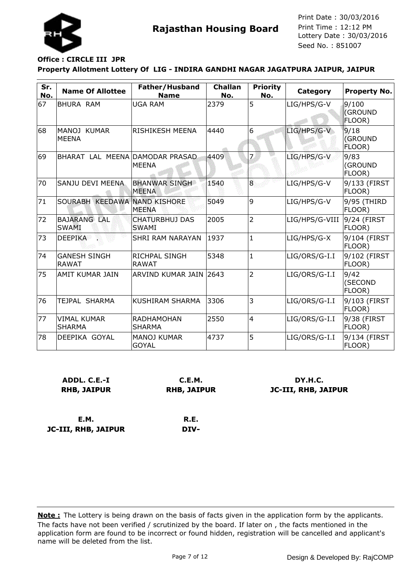

## **Office : CIRCLE III JPR**

**Property Allotment Lottery Of LIG - INDIRA GANDHI NAGAR JAGATPURA JAIPUR, JAIPUR**

| Sr.<br>No. | <b>Name Of Allottee</b>             | Father/Husband<br><b>Name</b>               | <b>Challan</b><br>No. | <b>Priority</b><br>No. | Category       | <b>Property No.</b>        |
|------------|-------------------------------------|---------------------------------------------|-----------------------|------------------------|----------------|----------------------------|
| 67         | BHURA RAM                           | <b>UGA RAM</b>                              | 2379                  | 5                      | LIG/HPS/G-V    | 9/100<br>(GROUND<br>FLOOR) |
| 68         | MANOJ KUMAR<br><b>MEENA</b>         | RISHIKESH MEENA                             | 4440                  | 6                      | LIG/HPS/G-V    | 9/18<br>(GROUND<br>FLOOR)  |
| 69         | BHARAT LAL MEENA DAMODAR PRASAD     | <b>MEENA</b>                                | 4409                  | $\overline{7}$         | LIG/HPS/G-V    | 9/83<br>(GROUND<br>FLOOR)  |
| 70         | SANJU DEVI MEENA                    | <b>BHANWAR SINGH</b><br><b>MEENA</b>        | 1540                  | 8                      | LIG/HPS/G-V    | 9/133 (FIRST<br>FLOOR)     |
| 71         | <b>SOURABH</b>                      | <b>KEEDAWA NAND KISHORE</b><br><b>MEENA</b> | 5049                  | 9                      | LIG/HPS/G-V    | 9/95 (THIRD<br>FLOOR)      |
| 72         | <b>BAJARANG LAL</b><br><b>SWAMI</b> | <b>CHATURBHUJ DAS</b><br><b>SWAMI</b>       | 2005                  | $\overline{2}$         | LIG/HPS/G-VIII | 9/24 (FIRST<br>FLOOR)      |
| 73         | <b>DEEPIKA</b>                      | <b>SHRI RAM NARAYAN</b>                     | 1937                  | $\mathbf{1}$           | LIG/HPS/G-X    | 9/104 (FIRST<br>FLOOR)     |
| 74         | <b>GANESH SINGH</b><br><b>RAWAT</b> | <b>RICHPAL SINGH</b><br><b>RAWAT</b>        | 5348                  | $\mathbf{1}$           | LIG/ORS/G-I.I  | 9/102 (FIRST<br>FLOOR)     |
| 75         | IAMIT KUMAR JAIN                    | ARVIND KUMAR JAIN                           | 2643                  | $\overline{2}$         | LIG/ORS/G-I.I  | 9/42<br>(SECOND<br>FLOOR)  |
| 76         | TEJPAL SHARMA                       | <b>KUSHIRAM SHARMA</b>                      | 3306                  | 3                      | LIG/ORS/G-I.I  | 9/103 (FIRST<br>FLOOR)     |
| 77         | <b>VIMAL KUMAR</b><br><b>SHARMA</b> | <b>RADHAMOHAN</b><br><b>SHARMA</b>          | 2550                  | $\overline{4}$         | LIG/ORS/G-I.I  | 9/38 (FIRST<br>FLOOR)      |
| 78         | DEEPIKA GOYAL                       | <b>MANOJ KUMAR</b><br><b>GOYAL</b>          | 4737                  | 5                      | LIG/ORS/G-I.I  | 9/134 (FIRST<br>FLOOR)     |

| ADDL. C.E.-I       | C.E.M.      | DY.H.C.             |
|--------------------|-------------|---------------------|
| <b>RHB, JAIPUR</b> | RHB, JAIPUR | JC-III, RHB, JAIPUR |
|                    |             |                     |
|                    |             |                     |

**E.M. JC-III, RHB, JAIPUR**

**R.E. DIV-**

The facts have not been verified / scrutinized by the board. If later on , the facts mentioned in the application form are found to be incorrect or found hidden, registration will be cancelled and applicant's name will be deleted from the list. **Note :** The Lottery is being drawn on the basis of facts given in the application form by the applicants.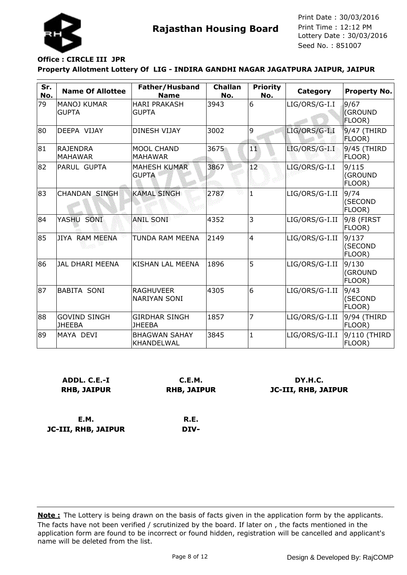

## **Office : CIRCLE III JPR**

**JC-III, RHB, JAIPUR**

#### **Property Allotment Lottery Of LIG - INDIRA GANDHI NAGAR JAGATPURA JAIPUR, JAIPUR**

| Sr.<br>No. | <b>Name Of Allottee</b>              | Father/Husband<br><b>Name</b>           | <b>Challan</b><br>No. | <b>Priority</b><br>No. | Category       | <b>Property No.</b>              |
|------------|--------------------------------------|-----------------------------------------|-----------------------|------------------------|----------------|----------------------------------|
| 79         | <b>MANOJ KUMAR</b><br><b>GUPTA</b>   | <b>HARI PRAKASH</b><br><b>GUPTA</b>     | 3943                  | 6                      | LIG/ORS/G-I.I  | 9/67<br><b>(GROUND</b><br>FLOOR) |
| 80         | DEEPA VIJAY                          | <b>DINESH VIJAY</b>                     | 3002                  | 9                      | LIG/ORS/G-I.I  | 9/47 (THIRD<br>FLOOR)            |
| 81         | <b>RAJENDRA</b><br><b>MAHAWAR</b>    | <b>MOOL CHAND</b><br><b>MAHAWAR</b>     | 3675                  | $\mathbf{1}$           | LIG/ORS/G-I.I  | 9/45 (THIRD<br>FLOOR)            |
| 82         | <b>PARUL GUPTA</b>                   | <b>MAHESH KUMAR</b><br><b>GUPTA</b>     | 3867                  | 12                     | LIG/ORS/G-I.I  | 9/115<br>(GROUND<br>FLOOR)       |
| 83         | <b>CHANDAN SINGH</b>                 | <b>KAMAL SINGH</b>                      | 2787                  | $\mathbf{1}$           | LIG/ORS/G-I.II | 9/74<br>(SECOND<br>FLOOR)        |
| 84         | YASHU SONI                           | <b>ANIL SONI</b>                        | 4352                  | 3                      | LIG/ORS/G-I.II | 9/8 (FIRST<br>FLOOR)             |
| 85         | JIYA RAM MEENA                       | TUNDA RAM MEENA                         | 2149                  | $\overline{4}$         | LIG/ORS/G-I.II | 9/137<br>(SECOND<br>FLOOR)       |
| 86         | JAL DHARI MEENA                      | KISHAN LAL MEENA                        | 1896                  | 5                      | LIG/ORS/G-I.II | 9/130<br>(GROUND<br>FLOOR)       |
| 87         | <b>BABITA SONI</b>                   | <b>RAGHUVEER</b><br><b>NARIYAN SONI</b> | 4305                  | 6                      | LIG/ORS/G-I.II | 9/43<br>(SECOND<br>FLOOR)        |
| 88         | <b>GOVIND SINGH</b><br><b>JHEEBA</b> | <b>GIRDHAR SINGH</b><br><b>JHEEBA</b>   | 1857                  | 7                      | LIG/ORS/G-I.II | 9/94 (THIRD<br>FLOOR)            |
| 89         | MAYA DEVI                            | <b>BHAGWAN SAHAY</b><br>KHANDELWAL      | 3845                  | $\mathbf{1}$           | LIG/ORS/G-II.I | 9/110 (THIRD<br>FLOOR)           |

| ADDL. C.E.-I       | C.E.M.             | DY.H.C.             |
|--------------------|--------------------|---------------------|
| <b>RHB, JAIPUR</b> | <b>RHB, JAIPUR</b> | JC-III, RHB, JAIPUR |
|                    |                    |                     |
|                    |                    |                     |
| E.M.               | R.E.               |                     |

**DIV-**

The facts have not been verified / scrutinized by the board. If later on , the facts mentioned in the application form are found to be incorrect or found hidden, registration will be cancelled and applicant's name will be deleted from the list. **Note :** The Lottery is being drawn on the basis of facts given in the application form by the applicants.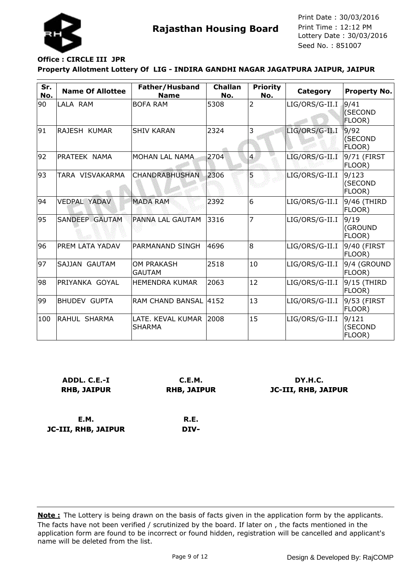

# **Office : CIRCLE III JPR**

**JC-III, RHB, JAIPUR**

#### **Property Allotment Lottery Of LIG - INDIRA GANDHI NAGAR JAGATPURA JAIPUR, JAIPUR**

| Sr.<br>No. | <b>Name Of Allottee</b> | Father/Husband<br><b>Name</b>      | <b>Challan</b><br>No. | <b>Priority</b><br>No. | <b>Category</b> | <b>Property No.</b>        |
|------------|-------------------------|------------------------------------|-----------------------|------------------------|-----------------|----------------------------|
| 90         | LALA RAM                | <b>BOFA RAM</b>                    | 5308                  | 2                      | LIG/ORS/G-II.I  | 9/41<br>(SECOND<br>FLOOR)  |
| 91         | RAJESH KUMAR            | <b>SHIV KARAN</b>                  | 2324                  | 3                      | LIG/ORS/G-II.I  | 9/92<br>(SECOND<br>FLOOR)  |
| 92         | PRATEEK NAMA            | MOHAN LAL NAMA                     | 2704                  | $\overline{4}$         | LIG/ORS/G-II.I  | 9/71 (FIRST<br>FLOOR)      |
| 93         | TARA VISVAKARMA         | CHANDRABHUSHAN                     | 2306                  | 5                      | LIG/ORS/G-II.I  | 9/123<br>(SECOND<br>FLOOR) |
| 94         | <b>VEDPAL YADAV</b>     | <b>MADA RAM</b>                    | 2392                  | 6                      | LIG/ORS/G-II.I  | 9/46 (THIRD<br>FLOOR)      |
| 95         | SANDEEP GAUTAM          | PANNA LAL GAUTAM                   | 3316                  | 7                      | LIG/ORS/G-II.I  | 9/19<br>(GROUND<br>FLOOR)  |
| 96         | <b>PREM LATA YADAV</b>  | PARMANAND SINGH                    | 4696                  | 8                      | LIG/ORS/G-II.I  | 9/40 (FIRST<br>FLOOR)      |
| 97         | SAJJAN GAUTAM           | <b>OM PRAKASH</b><br><b>GAUTAM</b> | 2518                  | 10                     | LIG/ORS/G-II.I  | 9/4 (GROUND<br>FLOOR)      |
| 98         | IPRIYANKA GOYAL         | <b>HEMENDRA KUMAR</b>              | 2063                  | 12                     | LIG/ORS/G-II.I  | 9/15 (THIRD<br>FLOOR)      |
| 99         | <b>BHUDEV GUPTA</b>     | RAM CHAND BANSAL 4152              |                       | 13                     | LIG/ORS/G-II.I  | 9/53 (FIRST<br>FLOOR)      |
| 100        | RAHUL SHARMA            | LATE. KEVAL KUMAR<br><b>SHARMA</b> | 2008                  | 15                     | LIG/ORS/G-II.I  | 9/121<br>(SECOND<br>FLOOR) |

| ADDL. C.E.-I       | C.E.M.             | DY.H.C.                    |
|--------------------|--------------------|----------------------------|
| <b>RHB, JAIPUR</b> | <b>RHB, JAIPUR</b> | <b>JC-III, RHB, JAIPUR</b> |
|                    |                    |                            |
|                    |                    |                            |
| E.M.               | R.E.               |                            |

**DIV-**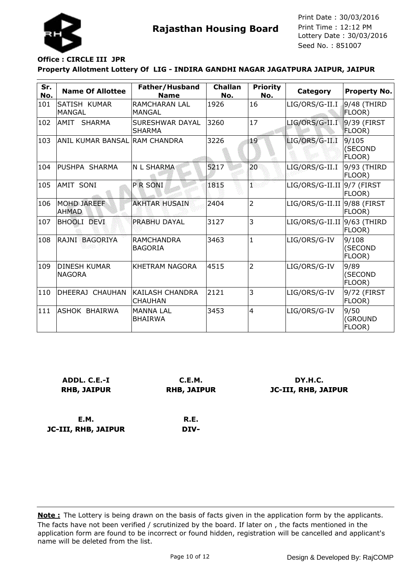

### **Office : CIRCLE III JPR**

**JC-III, RHB, JAIPUR**

#### **Property Allotment Lottery Of LIG - INDIRA GANDHI NAGAR JAGATPURA JAIPUR, JAIPUR**

| Sr.<br>No. | <b>Name Of Allottee</b>              | Father/Husband<br><b>Name</b>            | <b>Challan</b><br>No. | <b>Priority</b><br>No. | Category                     | <b>Property No.</b>        |
|------------|--------------------------------------|------------------------------------------|-----------------------|------------------------|------------------------------|----------------------------|
| 101        | SATISH KUMAR<br><b>MANGAL</b>        | <b>RAMCHARAN LAL</b><br>MANGAL           | 1926                  | 16                     | LIG/ORS/G-II.I               | 9/48 (THIRD<br>FLOOR)      |
| 102        | <b>AMIT</b><br><b>SHARMA</b>         | SURESHWAR DAYAL<br><b>SHARMA</b>         | 3260                  | 17                     | LIG/ORS/G-II.I               | 9/39 (FIRST<br>FLOOR)      |
| 103        | ANIL KUMAR BANSAL RAM CHANDRA        |                                          | 3226                  | 19                     | LIG/ORS/G-II.I               | 9/105<br>(SECOND<br>FLOOR) |
| 104        | <b>PUSHPA SHARMA</b>                 | N L SHARMA                               | 5217                  | 20                     | LIG/ORS/G-II.I               | 9/93 (THIRD<br>FLOOR)      |
| 105        | AMIT SONI                            | P R SONI                                 | 1815                  | ï                      | $LIG/ORS/G-II.II$ 9/7 (FIRST | FLOOR)                     |
| 106        | MOHD JAREEF<br><b>AHMAD</b>          | <b>AKHTAR HUSAIN</b>                     | 2404                  | $\overline{2}$         | LIG/ORS/G-II.II 9/88 (FIRST  | FLOOR)                     |
| 107        | <b>BHOOLI DEVI</b>                   | PRABHU DAYAL                             | 3127                  | 3                      | LIG/ORS/G-II.II 9/63 (THIRD  | FLOOR)                     |
| 108        | RAJNI BAGORIYA                       | <b>RAMCHANDRA</b><br><b>BAGORIA</b>      | 3463                  | 1                      | LIG/ORS/G-IV                 | 9/108<br>(SECOND<br>FLOOR) |
| 109        | <b>DINESH KUMAR</b><br><b>NAGORA</b> | <b>KHETRAM NAGORA</b>                    | 4515                  | $\overline{2}$         | LIG/ORS/G-IV                 | 9/89<br>(SECOND<br>FLOOR)  |
| 110        | DHEERAJ CHAUHAN                      | <b>KAILASH CHANDRA</b><br><b>CHAUHAN</b> | 2121                  | 3                      | LIG/ORS/G-IV                 | 9/72 (FIRST<br>FLOOR)      |
| 111        | IASHOK BHAIRWA                       | <b>MANNA LAL</b><br><b>BHAIRWA</b>       | 3453                  | 4                      | LIG/ORS/G-IV                 | 9/50<br>(GROUND<br>FLOOR)  |

| ADDL. C.E.-I       | C.E.M.             | DY.H.C.                    |
|--------------------|--------------------|----------------------------|
| <b>RHB, JAIPUR</b> | <b>RHB, JAIPUR</b> | <b>JC-III, RHB, JAIPUR</b> |
|                    |                    |                            |
|                    |                    |                            |
| E.M.               | R.E.               |                            |

**DIV-**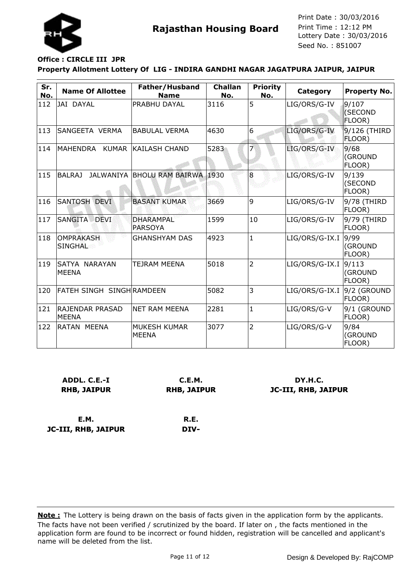

## **Office : CIRCLE III JPR**

#### **Property Allotment Lottery Of LIG - INDIRA GANDHI NAGAR JAGATPURA JAIPUR, JAIPUR**

| Sr.<br>No. | <b>Name Of Allottee</b>                | Father/Husband<br><b>Name</b>      | <b>Challan</b><br>No. | <b>Priority</b><br>No. | Category       | <b>Property No.</b>               |
|------------|----------------------------------------|------------------------------------|-----------------------|------------------------|----------------|-----------------------------------|
| 112        | JAI DAYAL                              | PRABHU DAYAL                       | 3116                  | 5                      | LIG/ORS/G-IV   | 9/107<br><b>(SECOND</b><br>FLOOR) |
| 113        | SANGEETA VERMA                         | <b>BABULAL VERMA</b>               | 4630                  | 6                      | LIG/ORS/G-IV   | 9/126 (THIRD<br>FLOOR)            |
| 114        | MAHENDRA KUMAR                         | <b>KAILASH CHAND</b>               | 5283                  |                        | LIG/ORS/G-IV   | 9/68<br>(GROUND<br>FLOOR)         |
| 115        | <b>BALRAJ</b>                          | JALWANIYA BHOLU RAM BAIRWA         | 1930                  | 8                      | LIG/ORS/G-IV   | 9/139<br>(SECOND<br>FLOOR)        |
| 116        | SANTOSH DEVI                           | <b>BASANT KUMAR</b>                | 3669                  | 9                      | LIG/ORS/G-IV   | 9/78 (THIRD<br>FLOOR)             |
| 117        | SANGITA DEVI                           | <b>DHARAMPAL</b><br><b>PARSOYA</b> | 1599                  | 10                     | LIG/ORS/G-IV   | 9/79 (THIRD<br>FLOOR)             |
| 118        | <b>OMPRAKASH</b><br><b>SINGHAL</b>     | <b>GHANSHYAM DAS</b>               | 4923                  | $\mathbf{1}$           | LIG/ORS/G-IX.I | 9/99<br>(GROUND<br>FLOOR)         |
| 119        | SATYA NARAYAN<br><b>MEENA</b>          | TEJRAM MEENA                       | 5018                  | $\overline{2}$         | LIG/ORS/G-IX.I | 9/113<br>(GROUND<br>FLOOR)        |
| 120        | FATEH SINGH SINGH RAMDEEN              |                                    | 5082                  | 3                      | LIG/ORS/G-IX.I | 9/2 (GROUND<br>FLOOR)             |
| 121        | <b>RAJENDAR PRASAD</b><br><b>MEENA</b> | <b>NET RAM MEENA</b>               | 2281                  | $\mathbf{1}$           | LIG/ORS/G-V    | 9/1 (GROUND<br>FLOOR)             |
| 122        | RATAN MEENA                            | MUKESH KUMAR<br><b>MEENA</b>       | 3077                  | $\overline{2}$         | LIG/ORS/G-V    | 9/84<br>(GROUND<br>FLOOR)         |

| ADDL. C.E.-I       | C.E.M.             | DY.H.C.                    |
|--------------------|--------------------|----------------------------|
| <b>RHB, JAIPUR</b> | <b>RHB, JAIPUR</b> | <b>JC-III, RHB, JAIPUR</b> |
| E.M.               | R.E.               |                            |

**E.M. JC-III, RHB, JAIPUR**

**DIV-**

The facts have not been verified / scrutinized by the board. If later on , the facts mentioned in the application form are found to be incorrect or found hidden, registration will be cancelled and applicant's name will be deleted from the list. **Note :** The Lottery is being drawn on the basis of facts given in the application form by the applicants.